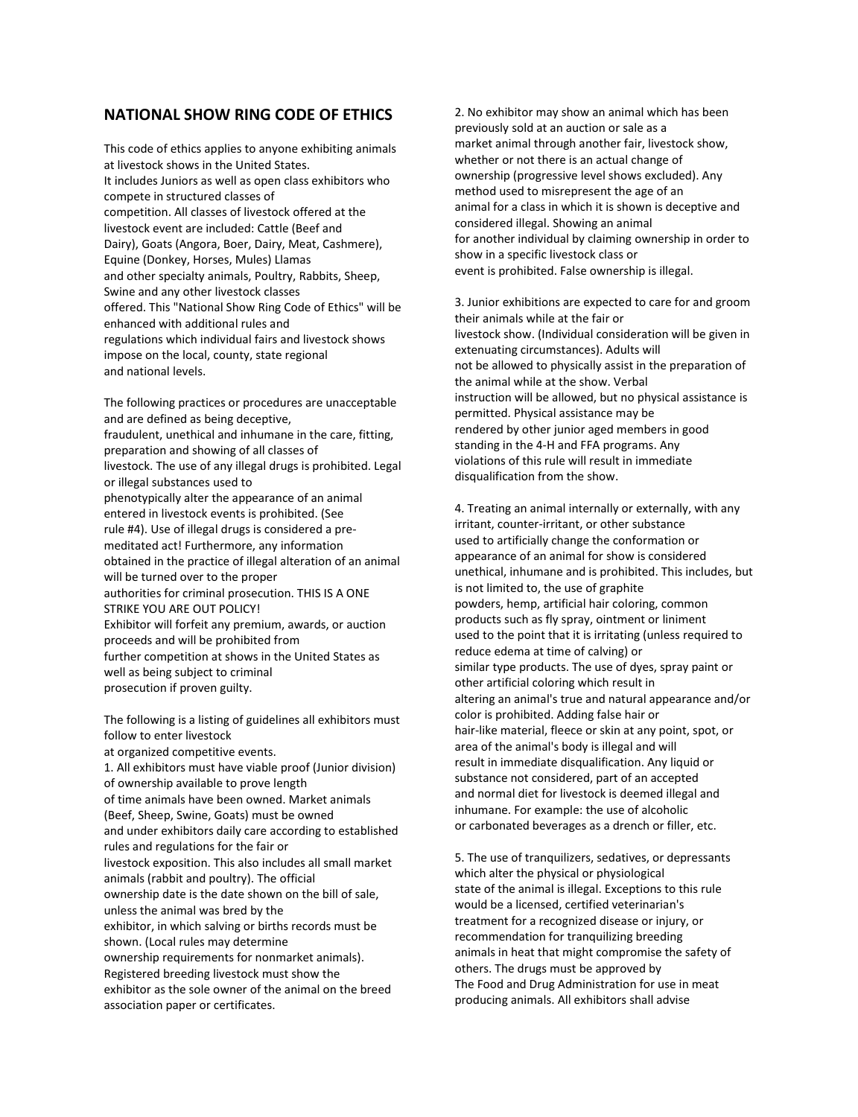## **NATIONAL SHOW RING CODE OF ETHICS**

This code of ethics applies to anyone exhibiting animals at livestock shows in the United States. It includes Juniors as well as open class exhibitors who compete in structured classes of competition. All classes of livestock offered at the livestock event are included: Cattle (Beef and Dairy), Goats (Angora, Boer, Dairy, Meat, Cashmere), Equine (Donkey, Horses, Mules) Llamas and other specialty animals, Poultry, Rabbits, Sheep, Swine and any other livestock classes offered. This "National Show Ring Code of Ethics" will be enhanced with additional rules and regulations which individual fairs and livestock shows impose on the local, county, state regional and national levels.

The following practices or procedures are unacceptable and are defined as being deceptive, fraudulent, unethical and inhumane in the care, fitting, preparation and showing of all classes of livestock. The use of any illegal drugs is prohibited. Legal or illegal substances used to phenotypically alter the appearance of an animal entered in livestock events is prohibited. (See rule #4). Use of illegal drugs is considered a premeditated act! Furthermore, any information obtained in the practice of illegal alteration of an animal will be turned over to the proper authorities for criminal prosecution. THIS IS A ONE STRIKE YOU ARE OUT POLICY! Exhibitor will forfeit any premium, awards, or auction proceeds and will be prohibited from further competition at shows in the United States as well as being subject to criminal prosecution if proven guilty.

The following is a listing of guidelines all exhibitors must follow to enter livestock at organized competitive events. 1. All exhibitors must have viable proof (Junior division) of ownership available to prove length of time animals have been owned. Market animals (Beef, Sheep, Swine, Goats) must be owned and under exhibitors daily care according to established rules and regulations for the fair or livestock exposition. This also includes all small market animals (rabbit and poultry). The official ownership date is the date shown on the bill of sale, unless the animal was bred by the exhibitor, in which salving or births records must be shown. (Local rules may determine ownership requirements for nonmarket animals). Registered breeding livestock must show the exhibitor as the sole owner of the animal on the breed association paper or certificates.

2. No exhibitor may show an animal which has been previously sold at an auction or sale as a market animal through another fair, livestock show, whether or not there is an actual change of ownership (progressive level shows excluded). Any method used to misrepresent the age of an animal for a class in which it is shown is deceptive and considered illegal. Showing an animal for another individual by claiming ownership in order to show in a specific livestock class or event is prohibited. False ownership is illegal.

3. Junior exhibitions are expected to care for and groom their animals while at the fair or livestock show. (Individual consideration will be given in extenuating circumstances). Adults will not be allowed to physically assist in the preparation of the animal while at the show. Verbal instruction will be allowed, but no physical assistance is permitted. Physical assistance may be rendered by other junior aged members in good standing in the 4-H and FFA programs. Any violations of this rule will result in immediate disqualification from the show.

4. Treating an animal internally or externally, with any irritant, counter-irritant, or other substance used to artificially change the conformation or appearance of an animal for show is considered unethical, inhumane and is prohibited. This includes, but is not limited to, the use of graphite powders, hemp, artificial hair coloring, common products such as fly spray, ointment or liniment used to the point that it is irritating (unless required to reduce edema at time of calving) or similar type products. The use of dyes, spray paint or other artificial coloring which result in altering an animal's true and natural appearance and/or color is prohibited. Adding false hair or hair-like material, fleece or skin at any point, spot, or area of the animal's body is illegal and will result in immediate disqualification. Any liquid or substance not considered, part of an accepted and normal diet for livestock is deemed illegal and inhumane. For example: the use of alcoholic or carbonated beverages as a drench or filler, etc.

5. The use of tranquilizers, sedatives, or depressants which alter the physical or physiological state of the animal is illegal. Exceptions to this rule would be a licensed, certified veterinarian's treatment for a recognized disease or injury, or recommendation for tranquilizing breeding animals in heat that might compromise the safety of others. The drugs must be approved by The Food and Drug Administration for use in meat producing animals. All exhibitors shall advise